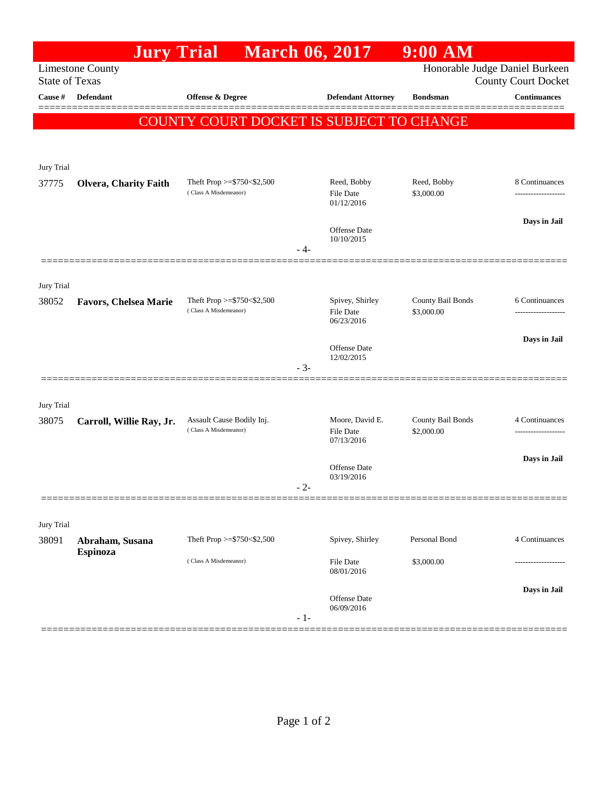|                       | <b>Jury Trial</b>            |                                                          | <b>March 06, 2017</b>               | $9:00$ AM                       |                                                   |
|-----------------------|------------------------------|----------------------------------------------------------|-------------------------------------|---------------------------------|---------------------------------------------------|
| <b>State of Texas</b> | <b>Limestone County</b>      |                                                          | Honorable Judge Daniel Burkeen      |                                 |                                                   |
| Cause #               | <b>Defendant</b>             | Offense & Degree                                         | <b>Defendant Attorney</b>           | <b>Bondsman</b>                 | <b>County Court Docket</b><br><b>Continuances</b> |
|                       |                              |                                                          |                                     |                                 | ======                                            |
|                       |                              | COUNTY COURT DOCKET IS SUBJECT TO CHANGE                 |                                     |                                 |                                                   |
|                       |                              |                                                          |                                     |                                 |                                                   |
| Jury Trial            |                              |                                                          |                                     |                                 |                                                   |
| 37775                 | <b>Olvera, Charity Faith</b> | Theft Prop $>=$ \$750 < \$2,500<br>(Class A Misdemeanor) | Reed, Bobby<br><b>File Date</b>     | Reed, Bobby<br>\$3,000.00       | 8 Continuances                                    |
|                       |                              |                                                          | 01/12/2016                          |                                 |                                                   |
|                       |                              |                                                          | Offense Date                        |                                 | Days in Jail                                      |
|                       |                              | - 4-                                                     | 10/10/2015                          |                                 |                                                   |
|                       |                              |                                                          |                                     |                                 |                                                   |
| Jury Trial            |                              |                                                          |                                     |                                 |                                                   |
| 38052                 | <b>Favors, Chelsea Marie</b> | Theft Prop >=\$750<\$2,500<br>(Class A Misdemeanor)      | Spivey, Shirley<br><b>File Date</b> | County Bail Bonds<br>\$3,000.00 | 6 Continuances<br>-------------------             |
|                       |                              |                                                          | 06/23/2016                          |                                 |                                                   |
|                       |                              |                                                          | <b>Offense</b> Date                 |                                 | Days in Jail                                      |
|                       |                              | $-3-$                                                    | 12/02/2015                          |                                 |                                                   |
|                       |                              |                                                          |                                     |                                 |                                                   |
| Jury Trial            |                              |                                                          |                                     |                                 |                                                   |
| 38075                 | Carroll, Willie Ray, Jr.     | Assault Cause Bodily Inj.<br>(Class A Misdemeanor)       | Moore, David E.<br><b>File Date</b> | County Bail Bonds<br>\$2,000.00 | 4 Continuances                                    |
|                       |                              |                                                          | 07/13/2016                          |                                 |                                                   |
|                       |                              |                                                          | Offense Date                        |                                 | Days in Jail                                      |
|                       |                              | - 2-                                                     | 03/19/2016                          |                                 |                                                   |
|                       |                              |                                                          |                                     |                                 |                                                   |
| Jury Trial            |                              |                                                          |                                     |                                 |                                                   |
| 38091                 | Abraham, Susana<br>Espinoza  | Theft Prop >=\$750<\$2,500                               | Spivey, Shirley                     | Personal Bond                   | 4 Continuances                                    |
|                       |                              | (Class A Misdemeanor)                                    | File Date<br>08/01/2016             | \$3,000.00                      |                                                   |
|                       |                              |                                                          |                                     |                                 | Days in Jail                                      |
|                       |                              |                                                          | Offense Date<br>06/09/2016          |                                 |                                                   |
|                       |                              | $-1-$                                                    |                                     |                                 |                                                   |